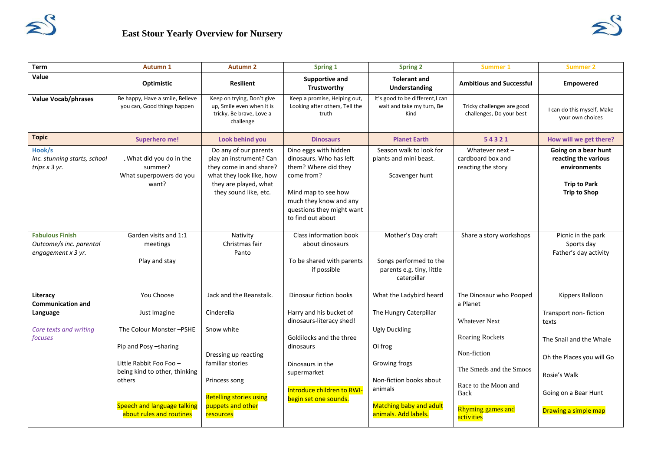

| <b>Term</b>                                                                           | <b>Autumn 1</b>                                                                                                                                                                                                 | <b>Autumn 2</b>                                                                                                                                                                      | Spring 1                                                                                                                                                                                                         | <b>Spring 2</b>                                                                                                                                                                                       | <b>Summer 1</b>                                                                                                                                                                                    | <b>Summer 2</b>                                                                                                                                                           |
|---------------------------------------------------------------------------------------|-----------------------------------------------------------------------------------------------------------------------------------------------------------------------------------------------------------------|--------------------------------------------------------------------------------------------------------------------------------------------------------------------------------------|------------------------------------------------------------------------------------------------------------------------------------------------------------------------------------------------------------------|-------------------------------------------------------------------------------------------------------------------------------------------------------------------------------------------------------|----------------------------------------------------------------------------------------------------------------------------------------------------------------------------------------------------|---------------------------------------------------------------------------------------------------------------------------------------------------------------------------|
| Value                                                                                 | Optimistic                                                                                                                                                                                                      | <b>Resilient</b>                                                                                                                                                                     | <b>Supportive and</b><br>Trustworthy                                                                                                                                                                             | <b>Tolerant and</b><br><b>Understanding</b>                                                                                                                                                           | <b>Ambitious and Successful</b>                                                                                                                                                                    | Empowered                                                                                                                                                                 |
| <b>Value Vocab/phrases</b>                                                            | Be happy, Have a smile, Believe<br>you can, Good things happen                                                                                                                                                  | Keep on trying, Don't give<br>up, Smile even when it is<br>tricky, Be brave, Love a<br>challenge                                                                                     | Keep a promise, Helping out,<br>Looking after others, Tell the<br>truth                                                                                                                                          | It's good to be different, I can<br>wait and take my turn, Be<br>Kind                                                                                                                                 | Tricky challenges are good<br>challenges, Do your best                                                                                                                                             | I can do this myself, Make<br>your own choices                                                                                                                            |
| <b>Topic</b>                                                                          | <b>Superhero me!</b>                                                                                                                                                                                            | Look behind you                                                                                                                                                                      | <b>Dinosaurs</b>                                                                                                                                                                                                 | <b>Planet Earth</b>                                                                                                                                                                                   | 54321                                                                                                                                                                                              | How will we get there?                                                                                                                                                    |
| Hook/s<br>Inc. stunning starts, school<br>trips $x$ 3 yr.                             | . What did you do in the<br>summer?<br>What superpowers do you<br>want?                                                                                                                                         | Do any of our parents<br>play an instrument? Can<br>they come in and share?<br>what they look like, how<br>they are played, what<br>they sound like, etc.                            | Dino eggs with hidden<br>dinosaurs. Who has left<br>them? Where did they<br>come from?<br>Mind map to see how<br>much they know and any<br>questions they might want<br>to find out about                        | Season walk to look for<br>plants and mini beast.<br>Scavenger hunt                                                                                                                                   | Whatever next $-$<br>cardboard box and<br>reacting the story                                                                                                                                       | Going on a bear hunt<br>reacting the various<br>environments<br><b>Trip to Park</b><br><b>Trip to Shop</b>                                                                |
| <b>Fabulous Finish</b><br>Outcome/s inc. parental<br>engagement x 3 yr.               | Garden visits and 1:1<br>meetings<br>Play and stay                                                                                                                                                              | Nativity<br>Christmas fair<br>Panto                                                                                                                                                  | Class information book<br>about dinosaurs<br>To be shared with parents<br>if possible                                                                                                                            | Mother's Day craft<br>Songs performed to the<br>parents e.g. tiny, little<br>caterpillar                                                                                                              | Share a story workshops                                                                                                                                                                            | Picnic in the park<br>Sports day<br>Father's day activity                                                                                                                 |
| Literacy<br><b>Communication and</b><br>Language<br>Core texts and writing<br>focuses | You Choose<br>Just Imagine<br>The Colour Monster-PSHE<br>Pip and Posy -sharing<br>Little Rabbit Foo Foo -<br>being kind to other, thinking<br>others<br>Speech and language talking<br>about rules and routines | Jack and the Beanstalk.<br>Cinderella<br>Snow white<br>Dressing up reacting<br>familiar stories<br>Princess song<br><b>Retelling stories using</b><br>puppets and other<br>resources | Dinosaur fiction books<br>Harry and his bucket of<br>dinosaurs-literacy shed!<br>Goldilocks and the three<br>dinosaurs<br>Dinosaurs in the<br>supermarket<br>Introduce children to RWI-<br>begin set one sounds. | What the Ladybird heard<br>The Hungry Caterpillar<br><b>Ugly Duckling</b><br>Oi frog<br>Growing frogs<br>Non-fiction books about<br>animals<br><b>Matching baby and adult</b><br>animals. Add labels. | The Dinosaur who Pooped<br>a Planet<br><b>Whatever Next</b><br>Roaring Rockets<br>Non-fiction<br>The Smeds and the Smoos<br>Race to the Moon and<br>Back<br><b>Rhyming games and</b><br>activities | Kippers Balloon<br>Transport non-fiction<br>texts<br>The Snail and the Whale<br>Oh the Places you will Go<br>Rosie's Walk<br>Going on a Bear Hunt<br>Drawing a simple map |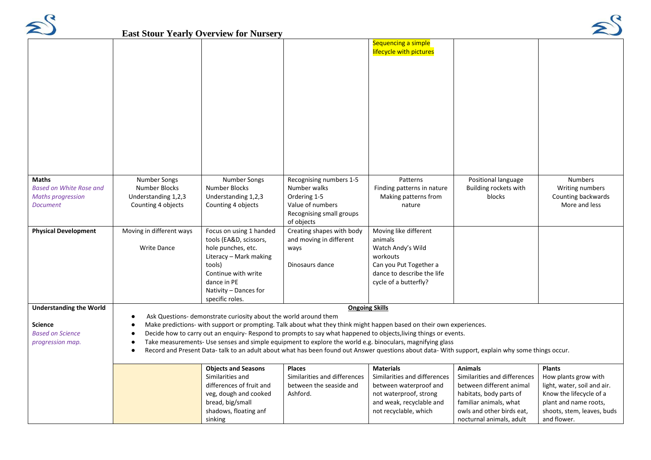

## **East Stour Yearly Overview for Nursery**



|                                |                                                                                                                                                                                          | <b>East Stour Yearly Overview for Nursery</b> |                                                                                                                                                   |                                                |                              |                             |
|--------------------------------|------------------------------------------------------------------------------------------------------------------------------------------------------------------------------------------|-----------------------------------------------|---------------------------------------------------------------------------------------------------------------------------------------------------|------------------------------------------------|------------------------------|-----------------------------|
|                                |                                                                                                                                                                                          |                                               |                                                                                                                                                   | Sequencing a simple<br>lifecycle with pictures |                              |                             |
|                                |                                                                                                                                                                                          |                                               |                                                                                                                                                   |                                                |                              |                             |
|                                |                                                                                                                                                                                          |                                               |                                                                                                                                                   |                                                |                              |                             |
|                                |                                                                                                                                                                                          |                                               |                                                                                                                                                   |                                                |                              |                             |
|                                |                                                                                                                                                                                          |                                               |                                                                                                                                                   |                                                |                              |                             |
|                                |                                                                                                                                                                                          |                                               |                                                                                                                                                   |                                                |                              |                             |
|                                |                                                                                                                                                                                          |                                               |                                                                                                                                                   |                                                |                              |                             |
|                                |                                                                                                                                                                                          |                                               |                                                                                                                                                   |                                                |                              |                             |
|                                |                                                                                                                                                                                          |                                               |                                                                                                                                                   |                                                |                              |                             |
| Maths                          | Number Songs                                                                                                                                                                             | Number Songs                                  | Recognising numbers 1-5                                                                                                                           | Patterns                                       | Positional language          | <b>Numbers</b>              |
| <b>Based on White Rose and</b> | Number Blocks                                                                                                                                                                            | Number Blocks                                 | Number walks                                                                                                                                      | Finding patterns in nature                     | Building rockets with        | Writing numbers             |
| <b>Maths progression</b>       | Understanding 1,2,3                                                                                                                                                                      | Understanding 1,2,3                           | Ordering 1-5                                                                                                                                      | Making patterns from                           | blocks                       | Counting backwards          |
| <b>Document</b>                | Counting 4 objects                                                                                                                                                                       | Counting 4 objects                            | Value of numbers                                                                                                                                  | nature                                         |                              | More and less               |
|                                |                                                                                                                                                                                          |                                               | Recognising small groups<br>of objects                                                                                                            |                                                |                              |                             |
| <b>Physical Development</b>    | Moving in different ways                                                                                                                                                                 | Focus on using 1 handed                       | Creating shapes with body                                                                                                                         | Moving like different                          |                              |                             |
|                                |                                                                                                                                                                                          | tools (EA&D, scissors,                        | and moving in different                                                                                                                           | animals                                        |                              |                             |
|                                | <b>Write Dance</b>                                                                                                                                                                       | hole punches, etc.                            | ways                                                                                                                                              | Watch Andy's Wild                              |                              |                             |
|                                |                                                                                                                                                                                          | Literacy - Mark making                        |                                                                                                                                                   | workouts                                       |                              |                             |
|                                |                                                                                                                                                                                          | tools)                                        | Dinosaurs dance                                                                                                                                   | Can you Put Together a                         |                              |                             |
|                                |                                                                                                                                                                                          | Continue with write                           |                                                                                                                                                   | dance to describe the life                     |                              |                             |
|                                |                                                                                                                                                                                          | dance in PE                                   |                                                                                                                                                   | cycle of a butterfly?                          |                              |                             |
|                                |                                                                                                                                                                                          | Nativity - Dances for                         |                                                                                                                                                   |                                                |                              |                             |
| <b>Understanding the World</b> |                                                                                                                                                                                          | specific roles.                               |                                                                                                                                                   | <b>Ongoing Skills</b>                          |                              |                             |
|                                |                                                                                                                                                                                          |                                               |                                                                                                                                                   |                                                |                              |                             |
| <b>Science</b>                 | Ask Questions- demonstrate curiosity about the world around them<br>Make predictions- with support or prompting. Talk about what they think might happen based on their own experiences. |                                               |                                                                                                                                                   |                                                |                              |                             |
| <b>Based on Science</b>        |                                                                                                                                                                                          |                                               | Decide how to carry out an enguiry- Respond to prompts to say what happened to objects, living things or events.                                  |                                                |                              |                             |
| progression map.               |                                                                                                                                                                                          |                                               | Take measurements- Use senses and simple equipment to explore the world e.g. binoculars, magnifying glass                                         |                                                |                              |                             |
|                                |                                                                                                                                                                                          |                                               | Record and Present Data- talk to an adult about what has been found out Answer questions about data- With support, explain why some things occur. |                                                |                              |                             |
|                                |                                                                                                                                                                                          |                                               |                                                                                                                                                   |                                                |                              |                             |
|                                |                                                                                                                                                                                          | <b>Objects and Seasons</b>                    | <b>Places</b>                                                                                                                                     | <b>Materials</b>                               | <b>Animals</b>               | <b>Plants</b>               |
|                                |                                                                                                                                                                                          | Similarities and                              | Similarities and differences                                                                                                                      | Similarities and differences                   | Similarities and differences | How plants grow with        |
|                                |                                                                                                                                                                                          | differences of fruit and                      | between the seaside and                                                                                                                           | between waterproof and                         | between different animal     | light, water, soil and air. |
|                                |                                                                                                                                                                                          | veg, dough and cooked                         | Ashford.                                                                                                                                          | not waterproof, strong                         | habitats, body parts of      | Know the lifecycle of a     |
|                                |                                                                                                                                                                                          | bread, big/small                              |                                                                                                                                                   | and weak, recyclable and                       | familiar animals, what       | plant and name roots,       |
|                                |                                                                                                                                                                                          | shadows, floating anf                         |                                                                                                                                                   | not recyclable, which                          | owls and other birds eat,    | shoots, stem, leaves, buds  |
|                                |                                                                                                                                                                                          | sinking                                       |                                                                                                                                                   |                                                | nocturnal animals, adult     | and flower.                 |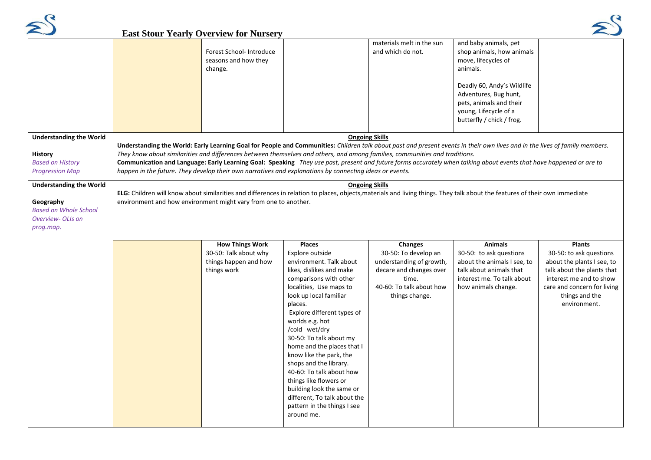

## East Stour Vearly Overview for Nu



|                                                                                                               | <b>East Stour Yearly Overview for Nursery</b>                                                                                                                                                                                                                           |                                                                                                                                                                                                                                                                                                                                                                                                                                                                                                                                                                                              |                                                                                                                                                      |                                                                                                                                                                                                                               |                                                                                                                                                                                                  |  |
|---------------------------------------------------------------------------------------------------------------|-------------------------------------------------------------------------------------------------------------------------------------------------------------------------------------------------------------------------------------------------------------------------|----------------------------------------------------------------------------------------------------------------------------------------------------------------------------------------------------------------------------------------------------------------------------------------------------------------------------------------------------------------------------------------------------------------------------------------------------------------------------------------------------------------------------------------------------------------------------------------------|------------------------------------------------------------------------------------------------------------------------------------------------------|-------------------------------------------------------------------------------------------------------------------------------------------------------------------------------------------------------------------------------|--------------------------------------------------------------------------------------------------------------------------------------------------------------------------------------------------|--|
|                                                                                                               | Forest School- Introduce<br>seasons and how they<br>change.                                                                                                                                                                                                             |                                                                                                                                                                                                                                                                                                                                                                                                                                                                                                                                                                                              | materials melt in the sun<br>and which do not.                                                                                                       | and baby animals, pet<br>shop animals, how animals<br>move, lifecycles of<br>animals.<br>Deadly 60, Andy's Wildlife<br>Adventures, Bug hunt,<br>pets, animals and their<br>young, Lifecycle of a<br>butterfly / chick / frog. |                                                                                                                                                                                                  |  |
| <b>Understanding the World</b>                                                                                |                                                                                                                                                                                                                                                                         |                                                                                                                                                                                                                                                                                                                                                                                                                                                                                                                                                                                              | <b>Ongoing Skills</b>                                                                                                                                |                                                                                                                                                                                                                               |                                                                                                                                                                                                  |  |
| <b>History</b><br><b>Based on History</b><br><b>Progression Map</b>                                           |                                                                                                                                                                                                                                                                         | Understanding the World: Early Learning Goal for People and Communities: Children talk about past and present events in their own lives and in the lives of family members.<br>They know about similarities and differences between themselves and others, and among families, communities and traditions.<br>Communication and Language: Early Learning Goal: Speaking They use past, present and future forms accurately when talking about events that have happened or are to<br>happen in the future. They develop their own narratives and explanations by connecting ideas or events. |                                                                                                                                                      |                                                                                                                                                                                                                               |                                                                                                                                                                                                  |  |
| <b>Understanding the World</b><br>Geography<br><b>Based on Whole School</b><br>Overview- OLIs on<br>prog.map. | <b>Ongoing Skills</b><br>ELG: Children will know about similarities and differences in relation to places, objects, materials and living things. They talk about the features of their own immediate<br>environment and how environment might vary from one to another. |                                                                                                                                                                                                                                                                                                                                                                                                                                                                                                                                                                                              |                                                                                                                                                      |                                                                                                                                                                                                                               |                                                                                                                                                                                                  |  |
|                                                                                                               | <b>How Things Work</b><br>30-50: Talk about why<br>things happen and how<br>things work                                                                                                                                                                                 | <b>Places</b><br>Explore outside<br>environment. Talk about<br>likes, dislikes and make<br>comparisons with other<br>localities, Use maps to<br>look up local familiar<br>places.<br>Explore different types of<br>worlds e.g. hot<br>/cold wet/dry<br>30-50: To talk about my<br>home and the places that I<br>know like the park, the<br>shops and the library.<br>40-60: To talk about how<br>things like flowers or<br>building look the same or<br>different, To talk about the<br>pattern in the things I see<br>around me.                                                            | <b>Changes</b><br>30-50: To develop an<br>understanding of growth,<br>decare and changes over<br>time.<br>40-60: To talk about how<br>things change. | <b>Animals</b><br>30-50: to ask questions<br>about the animals I see, to<br>talk about animals that<br>interest me. To talk about<br>how animals change.                                                                      | <b>Plants</b><br>30-50: to ask questions<br>about the plants I see, to<br>talk about the plants that<br>interest me and to show<br>care and concern for living<br>things and the<br>environment. |  |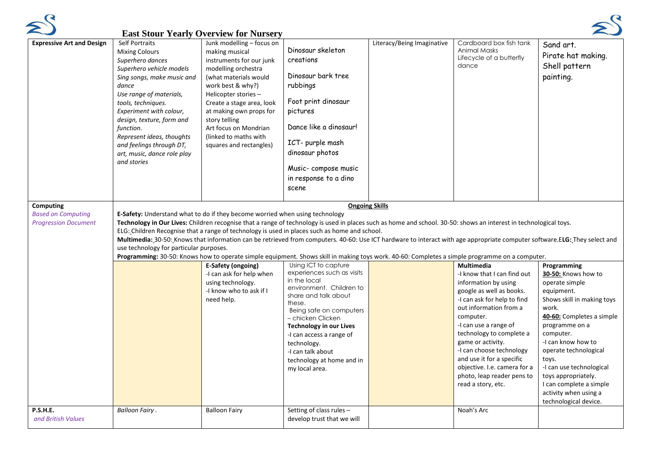

## **East Stour Yearly Overview for Nursery**



| <b>Expressive Art and Design</b>                                      | Last Stout Tearly Overview for Funsel<br>Self Portraits<br><b>Mixing Colours</b><br>Superhero dances<br>Superhero vehicle models<br>Sing songs, make music and<br>dance<br>Use range of materials,<br>tools, techniques.<br>Experiment with colour,<br>design, texture, form and<br>function.<br>Represent ideas, thoughts<br>and feelings through DT,<br>art, music, dance role play<br>and stories                                                                                                                                                                                                                                                                                                                                  | Junk modelling - focus on<br>making musical<br>instruments for our junk<br>modelling orchestra<br>(what materials would<br>work best & why?)<br>Helicopter stories -<br>Create a stage area, look<br>at making own props for<br>story telling<br>Art focus on Mondrian<br>(linked to maths with<br>squares and rectangles) | Dinosaur skeleton<br>creations<br>Dinosaur bark tree<br>rubbings<br>Foot print dinosaur<br>pictures<br>Dance like a dinosaur!<br>ICT- purple mash<br>dinosaur photos<br>Music-compose music<br>in response to a dino<br>scene                                                                                                     | Literacy/Being Imaginative | Cardboard box fish tank<br><b>Animal Masks</b><br>Lifecycle of a butterfly<br>dance                                                                                                                                                                                                                                                                                                        | Sand art.<br>Pirate hat making.<br>Shell pattern<br>painting.                                                                                                                                                                                                                                                                                                 |
|-----------------------------------------------------------------------|---------------------------------------------------------------------------------------------------------------------------------------------------------------------------------------------------------------------------------------------------------------------------------------------------------------------------------------------------------------------------------------------------------------------------------------------------------------------------------------------------------------------------------------------------------------------------------------------------------------------------------------------------------------------------------------------------------------------------------------|----------------------------------------------------------------------------------------------------------------------------------------------------------------------------------------------------------------------------------------------------------------------------------------------------------------------------|-----------------------------------------------------------------------------------------------------------------------------------------------------------------------------------------------------------------------------------------------------------------------------------------------------------------------------------|----------------------------|--------------------------------------------------------------------------------------------------------------------------------------------------------------------------------------------------------------------------------------------------------------------------------------------------------------------------------------------------------------------------------------------|---------------------------------------------------------------------------------------------------------------------------------------------------------------------------------------------------------------------------------------------------------------------------------------------------------------------------------------------------------------|
| Computing<br><b>Based on Computing</b><br><b>Progression Document</b> | <b>E-Safety:</b> Understand what to do if they become worried when using technology<br>Technology in Our Lives: Children recognise that a range of technology is used in places such as home and school. 30-50: shows an interest in technological toys.<br>ELG: Children Recognise that a range of technology is used in places such as home and school.<br>Multimedia: 30-50: Knows that information can be retrieved from computers. 40-60: Use ICT hardware to interact with age appropriate computer software. ELG: They select and<br>use technology for particular purposes.<br>Programming: 30-50: Knows how to operate simple equipment. Shows skill in making toys work. 40-60: Completes a simple programme on a computer. | E-Safety (ongoing)<br>-I can ask for help when<br>using technology.<br>-I know who to ask if I<br>need help.                                                                                                                                                                                                               | Using ICT to capture<br>experiences such as visits<br>in the local<br>environment. Children to<br>share and talk about<br>these.<br>Being safe on computers<br>– chicken Clicken<br><b>Technology in our Lives</b><br>-I can access a range of<br>technology.<br>-I can talk about<br>technology at home and in<br>my local area. | <b>Ongoing Skills</b>      | Multimedia<br>-I know that I can find out<br>information by using<br>google as well as books.<br>-I can ask for help to find<br>out information from a<br>computer.<br>-I can use a range of<br>technology to complete a<br>game or activity.<br>-I can choose technology<br>and use it for a specific<br>objective. I.e. camera for a<br>photo, leap reader pens to<br>read a story, etc. | Programming<br>30-50: Knows how to<br>operate simple<br>equipment.<br>Shows skill in making toys<br>work.<br>40-60: Completes a simple<br>programme on a<br>computer.<br>-I can know how to<br>operate technological<br>toys.<br>-I can use technological<br>toys appropriately.<br>I can complete a simple<br>activity when using a<br>technological device. |
| P.S.H.E.<br>and British Values                                        | <b>Balloon Fairy.</b>                                                                                                                                                                                                                                                                                                                                                                                                                                                                                                                                                                                                                                                                                                                 | <b>Balloon Fairy</b>                                                                                                                                                                                                                                                                                                       | Setting of class rules -<br>develop trust that we will                                                                                                                                                                                                                                                                            |                            | Noah's Arc                                                                                                                                                                                                                                                                                                                                                                                 |                                                                                                                                                                                                                                                                                                                                                               |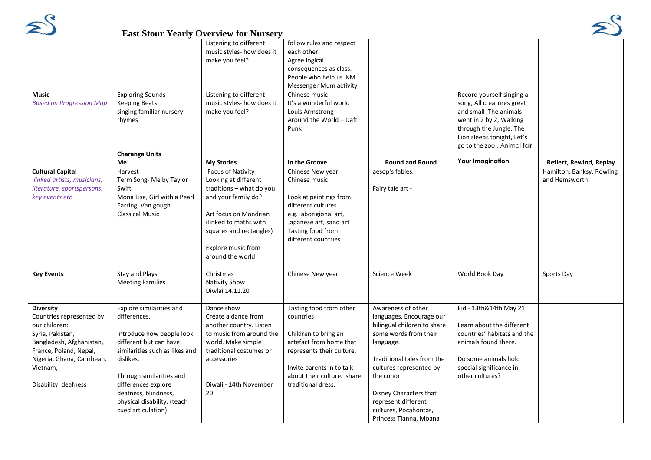



|                                 |                                | $\mathbf{L}$ ast Diour Tearly Overview for Funsel |                            |                             |                             |                           |
|---------------------------------|--------------------------------|---------------------------------------------------|----------------------------|-----------------------------|-----------------------------|---------------------------|
|                                 |                                | Listening to different                            | follow rules and respect   |                             |                             |                           |
|                                 |                                | music styles- how does it                         | each other.                |                             |                             |                           |
|                                 |                                | make you feel?                                    | Agree logical              |                             |                             |                           |
|                                 |                                |                                                   | consequences as class.     |                             |                             |                           |
|                                 |                                |                                                   | People who help us KM      |                             |                             |                           |
|                                 |                                |                                                   | Messenger Mum activity     |                             |                             |                           |
| Music                           | <b>Exploring Sounds</b>        | Listening to different                            | Chinese music              |                             | Record yourself singing a   |                           |
| <b>Based on Progression Map</b> | <b>Keeping Beats</b>           | music styles- how does it                         | It's a wonderful world     |                             | song, All creatures great   |                           |
|                                 | singing familiar nursery       | make you feel?                                    | Louis Armstrong            |                             | and small , The animals     |                           |
|                                 | rhymes                         |                                                   | Around the World - Daft    |                             | went in 2 by 2, Walking     |                           |
|                                 |                                |                                                   | Punk                       |                             | through the Jungle, The     |                           |
|                                 |                                |                                                   |                            |                             | Lion sleeps tonight, Let's  |                           |
|                                 |                                |                                                   |                            |                             | go to the zoo, Animal fair  |                           |
|                                 | <b>Charanga Units</b>          |                                                   |                            |                             |                             |                           |
|                                 | Me!                            | <b>My Stories</b>                                 | In the Groove              | <b>Round and Round</b>      | <b>Your Imagination</b>     | Reflect, Rewind, Replay   |
| <b>Cultural Capital</b>         | Harvest                        | <b>Focus of Nativity</b>                          | Chinese New year           | aesop's fables.             |                             | Hamilton, Banksy, Rowling |
| linked artists, musicians,      | Term Song-Me by Taylor         | Looking at different                              | Chinese music              |                             |                             | and Hemsworth             |
| literature, sportspersons,      | Swift                          | traditions - what do you                          |                            | Fairy tale art -            |                             |                           |
| key events etc                  | Mona Lisa, Girl with a Pearl   | and your family do?                               | Look at paintings from     |                             |                             |                           |
|                                 | Earring, Van gough             |                                                   | different cultures         |                             |                             |                           |
|                                 | <b>Classical Music</b>         | Art focus on Mondrian                             | e.g. aborigional art,      |                             |                             |                           |
|                                 |                                | (linked to maths with                             | Japanese art, sand art     |                             |                             |                           |
|                                 |                                | squares and rectangles)                           | Tasting food from          |                             |                             |                           |
|                                 |                                |                                                   | different countries        |                             |                             |                           |
|                                 |                                | Explore music from                                |                            |                             |                             |                           |
|                                 |                                | around the world                                  |                            |                             |                             |                           |
|                                 |                                |                                                   |                            |                             |                             |                           |
| <b>Key Events</b>               | <b>Stay and Plays</b>          | Christmas                                         | Chinese New year           | <b>Science Week</b>         | World Book Day              | Sports Day                |
|                                 | <b>Meeting Families</b>        | <b>Nativity Show</b>                              |                            |                             |                             |                           |
|                                 |                                | Diwlai 14.11.20                                   |                            |                             |                             |                           |
| <b>Diversity</b>                | Explore similarities and       | Dance show                                        | Tasting food from other    | Awareness of other          | Eid - 13th&14th May 21      |                           |
| Countries represented by        | differences.                   | Create a dance from                               | countries                  | languages. Encourage our    |                             |                           |
| our children:                   |                                | another country. Listen                           |                            | bilingual children to share | Learn about the different   |                           |
| Syria, Pakistan,                | Introduce how people look      | to music from around the                          | Children to bring an       | some words from their       | countries' habitats and the |                           |
| Bangladesh, Afghanistan,        | different but can have         | world. Make simple                                | artefact from home that    | language.                   | animals found there.        |                           |
| France, Poland, Nepal,          | similarities such as likes and | traditional costumes or                           | represents their culture.  |                             |                             |                           |
| Nigeria, Ghana, Carribean,      | dislikes.                      | accessories                                       |                            | Traditional tales from the  | Do some animals hold        |                           |
| Vietnam,                        |                                |                                                   | Invite parents in to talk  | cultures represented by     | special significance in     |                           |
|                                 | Through similarities and       |                                                   | about their culture. share | the cohort                  | other cultures?             |                           |
| Disability: deafness            | differences explore            | Diwali - 14th November                            | traditional dress.         |                             |                             |                           |
|                                 | deafness, blindness,           | 20                                                |                            | Disney Characters that      |                             |                           |
|                                 | physical disability. (teach    |                                                   |                            | represent different         |                             |                           |
|                                 | cued articulation)             |                                                   |                            | cultures, Pocahontas,       |                             |                           |
|                                 |                                |                                                   |                            | Princess Tianna, Moana      |                             |                           |